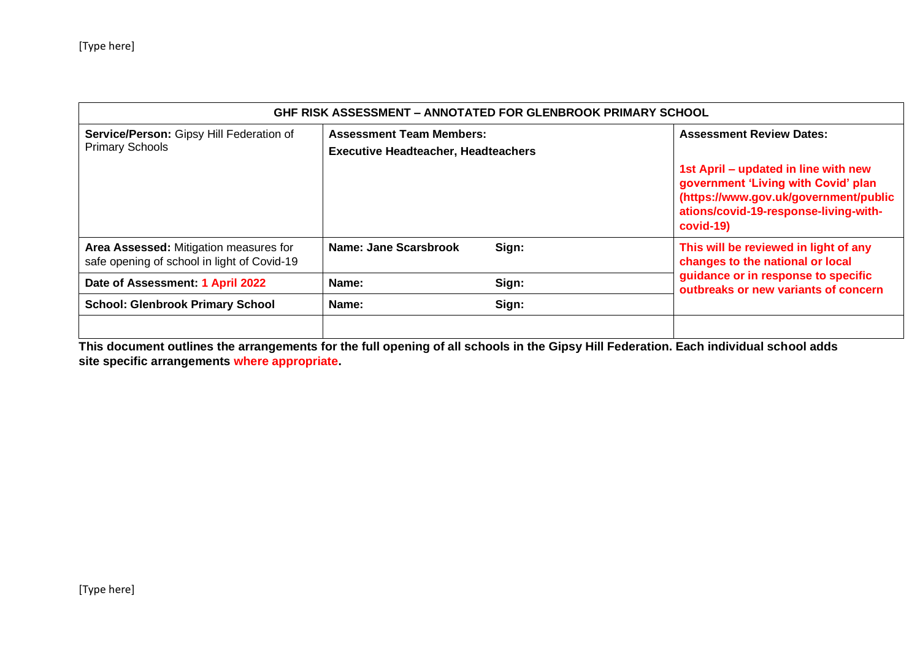| GHF RISK ASSESSMENT - ANNOTATED FOR GLENBROOK PRIMARY SCHOOL                          |                                                                               |       |                                                                                                                                                                            |  |  |  |
|---------------------------------------------------------------------------------------|-------------------------------------------------------------------------------|-------|----------------------------------------------------------------------------------------------------------------------------------------------------------------------------|--|--|--|
| Service/Person: Gipsy Hill Federation of<br><b>Primary Schools</b>                    | <b>Assessment Team Members:</b><br><b>Executive Headteacher, Headteachers</b> |       | <b>Assessment Review Dates:</b>                                                                                                                                            |  |  |  |
|                                                                                       |                                                                               |       | 1st April – updated in line with new<br>government 'Living with Covid' plan<br>(https://www.gov.uk/government/public<br>ations/covid-19-response-living-with-<br>covid-19) |  |  |  |
| Area Assessed: Mitigation measures for<br>safe opening of school in light of Covid-19 | Name: Jane Scarsbrook                                                         | Sign: | This will be reviewed in light of any<br>changes to the national or local                                                                                                  |  |  |  |
| Date of Assessment: 1 April 2022                                                      | Sign:<br>Name:<br>Sign:<br>Name:                                              |       | guidance or in response to specific<br>outbreaks or new variants of concern                                                                                                |  |  |  |
| <b>School: Glenbrook Primary School</b>                                               |                                                                               |       |                                                                                                                                                                            |  |  |  |
|                                                                                       |                                                                               |       |                                                                                                                                                                            |  |  |  |

**This document outlines the arrangements for the full opening of all schools in the Gipsy Hill Federation. Each individual school adds site specific arrangements where appropriate.**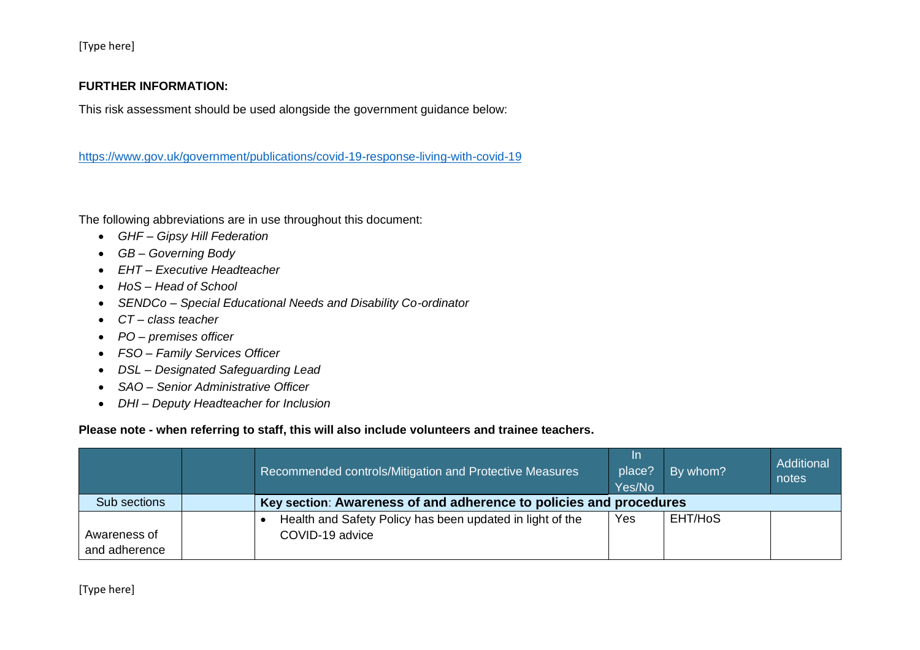## **FURTHER INFORMATION:**

This risk assessment should be used alongside the government guidance below:

<https://www.gov.uk/government/publications/covid-19-response-living-with-covid-19>

The following abbreviations are in use throughout this document:

- *GHF – Gipsy Hill Federation*
- *GB – Governing Body*
- *EHT – Executive Headteacher*
- *HoS – Head of School*
- *SENDCo – Special Educational Needs and Disability Co-ordinator*
- *CT – class teacher*
- *PO – premises officer*
- *FSO – Family Services Officer*
- *DSL – Designated Safeguarding Lead*
- *SAO – Senior Administrative Officer*
- *DHI – Deputy Headteacher for Inclusion*

## **Please note - when referring to staff, this will also include volunteers and trainee teachers.**

|               | Recommended controls/Mitigation and Protective Measures            | <u>In</u><br>place?<br>Yes/No | By whom? | Additional<br>notes |
|---------------|--------------------------------------------------------------------|-------------------------------|----------|---------------------|
| Sub sections  | Key section: Awareness of and adherence to policies and procedures |                               |          |                     |
|               | Health and Safety Policy has been updated in light of the          | Yes                           | EHT/HoS  |                     |
| Awareness of  | COVID-19 advice                                                    |                               |          |                     |
| and adherence |                                                                    |                               |          |                     |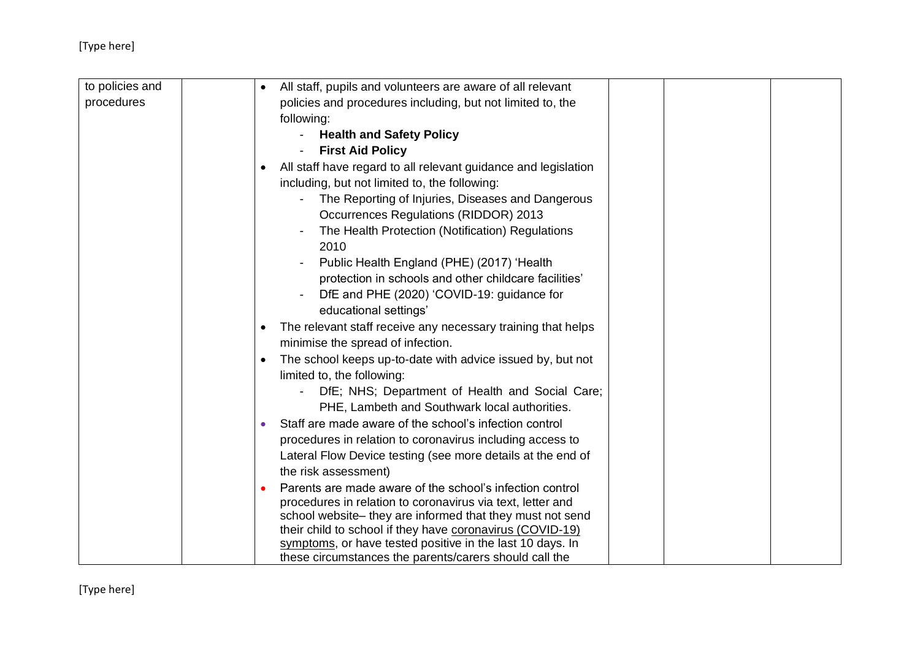| to policies and | All staff, pupils and volunteers are aware of all relevant                                                              |  |
|-----------------|-------------------------------------------------------------------------------------------------------------------------|--|
| procedures      | policies and procedures including, but not limited to, the                                                              |  |
|                 | following:                                                                                                              |  |
|                 | <b>Health and Safety Policy</b>                                                                                         |  |
|                 | <b>First Aid Policy</b>                                                                                                 |  |
|                 | All staff have regard to all relevant guidance and legislation<br>$\bullet$                                             |  |
|                 | including, but not limited to, the following:                                                                           |  |
|                 | The Reporting of Injuries, Diseases and Dangerous                                                                       |  |
|                 | <b>Occurrences Regulations (RIDDOR) 2013</b>                                                                            |  |
|                 | The Health Protection (Notification) Regulations                                                                        |  |
|                 | 2010                                                                                                                    |  |
|                 | Public Health England (PHE) (2017) 'Health<br>$\overline{\phantom{a}}$                                                  |  |
|                 | protection in schools and other childcare facilities'                                                                   |  |
|                 | DfE and PHE (2020) 'COVID-19: guidance for                                                                              |  |
|                 | educational settings'                                                                                                   |  |
|                 | The relevant staff receive any necessary training that helps<br>٠                                                       |  |
|                 | minimise the spread of infection.                                                                                       |  |
|                 | The school keeps up-to-date with advice issued by, but not                                                              |  |
|                 | limited to, the following:                                                                                              |  |
|                 | DfE; NHS; Department of Health and Social Care;                                                                         |  |
|                 | PHE, Lambeth and Southwark local authorities.                                                                           |  |
|                 | Staff are made aware of the school's infection control                                                                  |  |
|                 | procedures in relation to coronavirus including access to                                                               |  |
|                 | Lateral Flow Device testing (see more details at the end of                                                             |  |
|                 | the risk assessment)                                                                                                    |  |
|                 | Parents are made aware of the school's infection control                                                                |  |
|                 | procedures in relation to coronavirus via text, letter and<br>school website- they are informed that they must not send |  |
|                 | their child to school if they have coronavirus (COVID-19)                                                               |  |
|                 | symptoms, or have tested positive in the last 10 days. In                                                               |  |
|                 | these circumstances the parents/carers should call the                                                                  |  |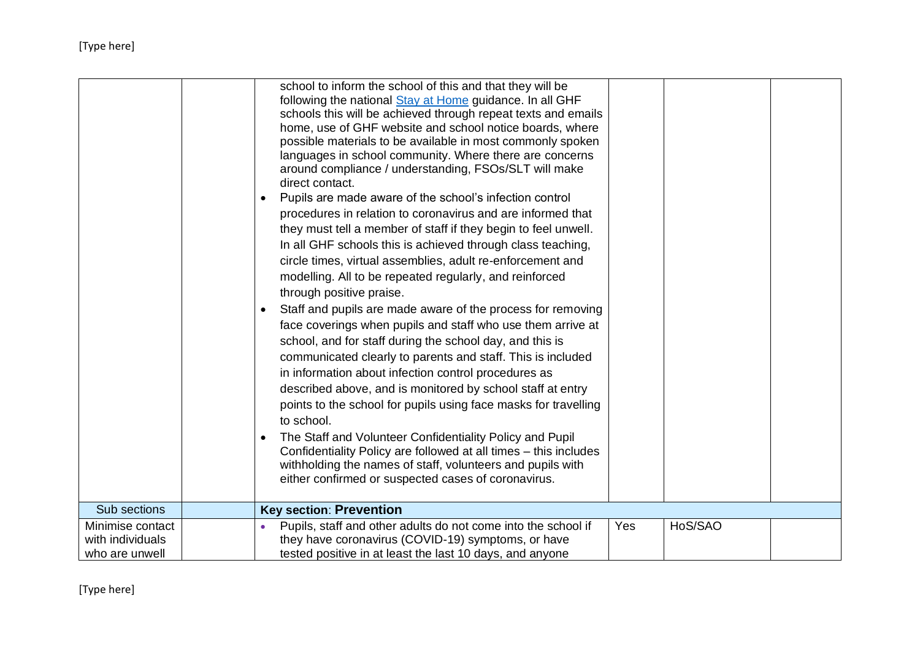|                                    | school to inform the school of this and that they will be<br>following the national Stay at Home guidance. In all GHF<br>schools this will be achieved through repeat texts and emails<br>home, use of GHF website and school notice boards, where<br>possible materials to be available in most commonly spoken<br>languages in school community. Where there are concerns<br>around compliance / understanding, FSOs/SLT will make<br>direct contact.<br>Pupils are made aware of the school's infection control<br>procedures in relation to coronavirus and are informed that<br>they must tell a member of staff if they begin to feel unwell.<br>In all GHF schools this is achieved through class teaching,<br>circle times, virtual assemblies, adult re-enforcement and<br>modelling. All to be repeated regularly, and reinforced |     |         |  |
|------------------------------------|---------------------------------------------------------------------------------------------------------------------------------------------------------------------------------------------------------------------------------------------------------------------------------------------------------------------------------------------------------------------------------------------------------------------------------------------------------------------------------------------------------------------------------------------------------------------------------------------------------------------------------------------------------------------------------------------------------------------------------------------------------------------------------------------------------------------------------------------|-----|---------|--|
|                                    | communicated clearly to parents and staff. This is included<br>in information about infection control procedures as<br>described above, and is monitored by school staff at entry<br>points to the school for pupils using face masks for travelling<br>to school.<br>The Staff and Volunteer Confidentiality Policy and Pupil<br>Confidentiality Policy are followed at all times – this includes<br>withholding the names of staff, volunteers and pupils with<br>either confirmed or suspected cases of coronavirus.                                                                                                                                                                                                                                                                                                                     |     |         |  |
| Sub sections                       | <b>Key section: Prevention</b>                                                                                                                                                                                                                                                                                                                                                                                                                                                                                                                                                                                                                                                                                                                                                                                                              |     |         |  |
| Minimise contact                   | Pupils, staff and other adults do not come into the school if                                                                                                                                                                                                                                                                                                                                                                                                                                                                                                                                                                                                                                                                                                                                                                               | Yes | HoS/SAO |  |
| with individuals<br>who are unwell | they have coronavirus (COVID-19) symptoms, or have<br>tested positive in at least the last 10 days, and anyone                                                                                                                                                                                                                                                                                                                                                                                                                                                                                                                                                                                                                                                                                                                              |     |         |  |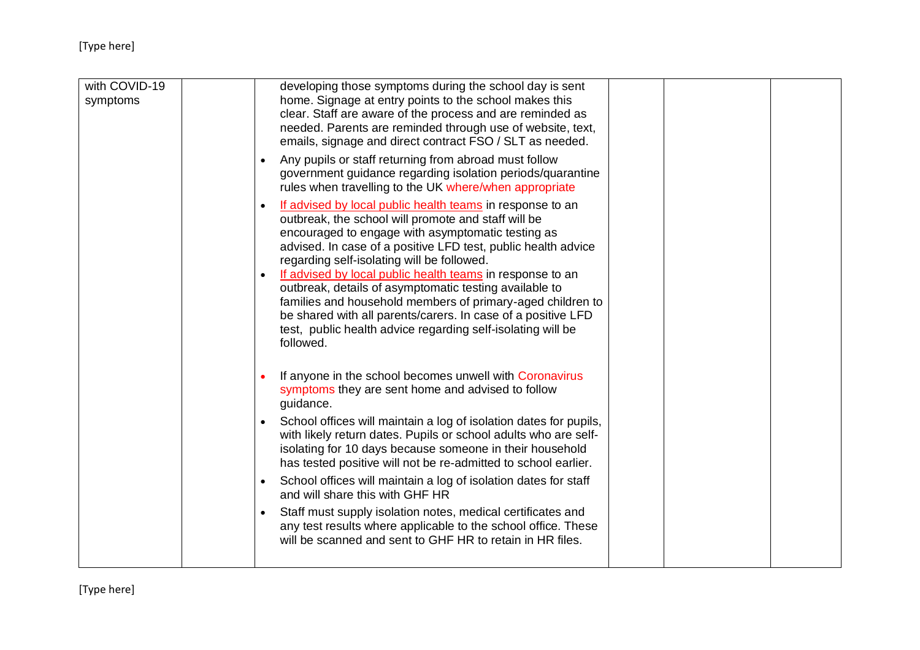| with COVID-19<br>symptoms | developing those symptoms during the school day is sent<br>home. Signage at entry points to the school makes this<br>clear. Staff are aware of the process and are reminded as<br>needed. Parents are reminded through use of website, text,<br>emails, signage and direct contract FSO / SLT as needed.<br>Any pupils or staff returning from abroad must follow<br>$\bullet$<br>government guidance regarding isolation periods/quarantine<br>rules when travelling to the UK where/when appropriate<br>If advised by local public health teams in response to an<br>$\bullet$<br>outbreak, the school will promote and staff will be<br>encouraged to engage with asymptomatic testing as<br>advised. In case of a positive LFD test, public health advice<br>regarding self-isolating will be followed.<br>If advised by local public health teams in response to an |  |
|---------------------------|--------------------------------------------------------------------------------------------------------------------------------------------------------------------------------------------------------------------------------------------------------------------------------------------------------------------------------------------------------------------------------------------------------------------------------------------------------------------------------------------------------------------------------------------------------------------------------------------------------------------------------------------------------------------------------------------------------------------------------------------------------------------------------------------------------------------------------------------------------------------------|--|
|                           | outbreak, details of asymptomatic testing available to<br>families and household members of primary-aged children to<br>be shared with all parents/carers. In case of a positive LFD<br>test, public health advice regarding self-isolating will be<br>followed.                                                                                                                                                                                                                                                                                                                                                                                                                                                                                                                                                                                                         |  |
|                           | If anyone in the school becomes unwell with Coronavirus<br>symptoms they are sent home and advised to follow<br>guidance.                                                                                                                                                                                                                                                                                                                                                                                                                                                                                                                                                                                                                                                                                                                                                |  |
|                           | School offices will maintain a log of isolation dates for pupils,<br>$\bullet$<br>with likely return dates. Pupils or school adults who are self-<br>isolating for 10 days because someone in their household<br>has tested positive will not be re-admitted to school earlier.                                                                                                                                                                                                                                                                                                                                                                                                                                                                                                                                                                                          |  |
|                           | School offices will maintain a log of isolation dates for staff<br>$\bullet$<br>and will share this with GHF HR                                                                                                                                                                                                                                                                                                                                                                                                                                                                                                                                                                                                                                                                                                                                                          |  |
|                           | Staff must supply isolation notes, medical certificates and<br>$\bullet$<br>any test results where applicable to the school office. These<br>will be scanned and sent to GHF HR to retain in HR files.                                                                                                                                                                                                                                                                                                                                                                                                                                                                                                                                                                                                                                                                   |  |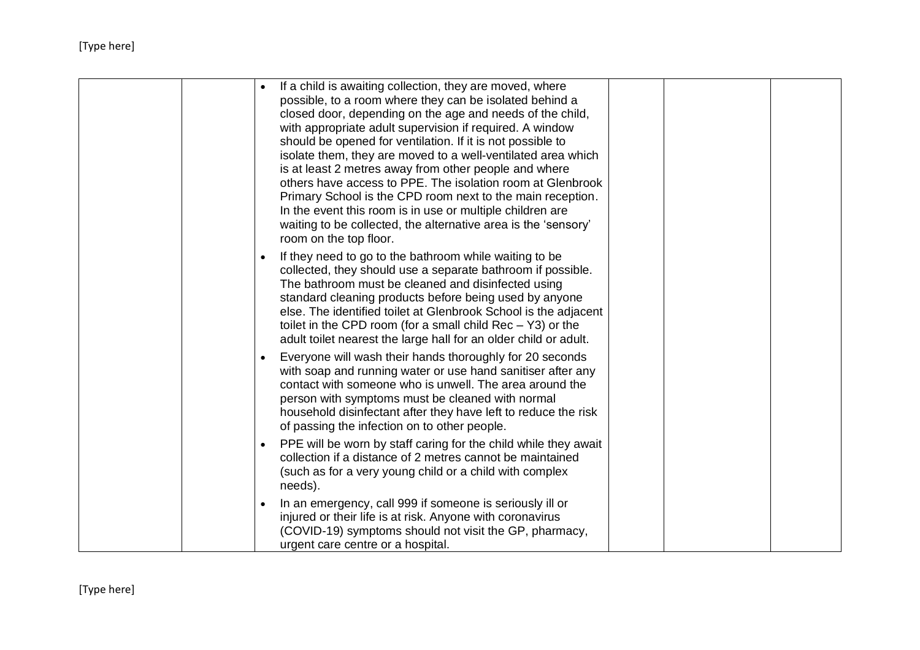| If a child is awaiting collection, they are moved, where<br>possible, to a room where they can be isolated behind a<br>closed door, depending on the age and needs of the child,<br>with appropriate adult supervision if required. A window<br>should be opened for ventilation. If it is not possible to<br>isolate them, they are moved to a well-ventilated area which<br>is at least 2 metres away from other people and where<br>others have access to PPE. The isolation room at Glenbrook<br>Primary School is the CPD room next to the main reception.<br>In the event this room is in use or multiple children are<br>waiting to be collected, the alternative area is the 'sensory'<br>room on the top floor. |
|--------------------------------------------------------------------------------------------------------------------------------------------------------------------------------------------------------------------------------------------------------------------------------------------------------------------------------------------------------------------------------------------------------------------------------------------------------------------------------------------------------------------------------------------------------------------------------------------------------------------------------------------------------------------------------------------------------------------------|
| If they need to go to the bathroom while waiting to be<br>collected, they should use a separate bathroom if possible.<br>The bathroom must be cleaned and disinfected using<br>standard cleaning products before being used by anyone<br>else. The identified toilet at Glenbrook School is the adjacent<br>toilet in the CPD room (for a small child $Rec - Y3$ ) or the<br>adult toilet nearest the large hall for an older child or adult.                                                                                                                                                                                                                                                                            |
| Everyone will wash their hands thoroughly for 20 seconds<br>with soap and running water or use hand sanitiser after any<br>contact with someone who is unwell. The area around the<br>person with symptoms must be cleaned with normal<br>household disinfectant after they have left to reduce the risk<br>of passing the infection on to other people.                                                                                                                                                                                                                                                                                                                                                                 |
| PPE will be worn by staff caring for the child while they await<br>$\bullet$<br>collection if a distance of 2 metres cannot be maintained<br>(such as for a very young child or a child with complex<br>needs).                                                                                                                                                                                                                                                                                                                                                                                                                                                                                                          |
| In an emergency, call 999 if someone is seriously ill or<br>injured or their life is at risk. Anyone with coronavirus<br>(COVID-19) symptoms should not visit the GP, pharmacy,<br>urgent care centre or a hospital.                                                                                                                                                                                                                                                                                                                                                                                                                                                                                                     |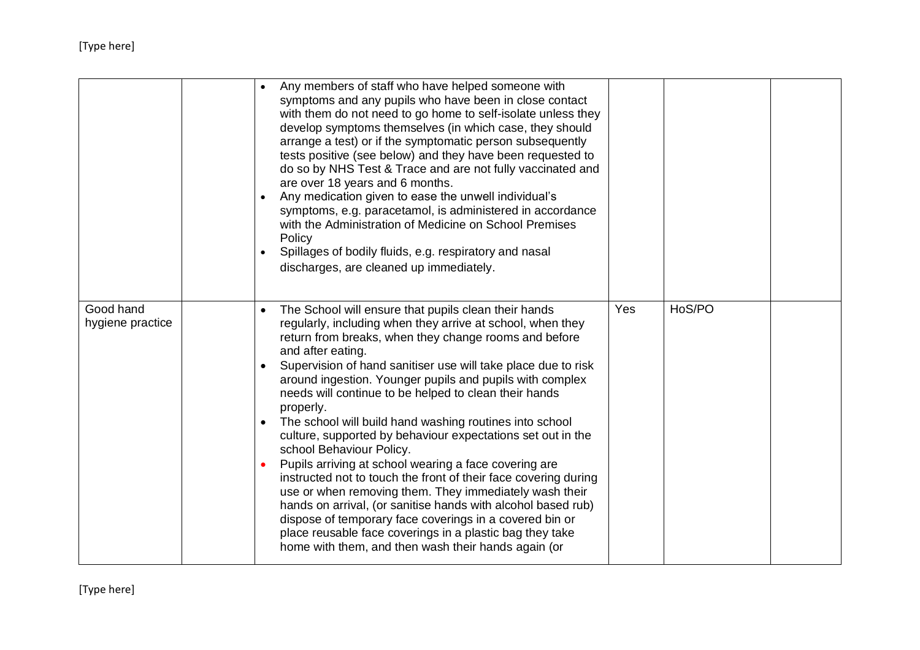|                               |  | Any members of staff who have helped someone with<br>symptoms and any pupils who have been in close contact<br>with them do not need to go home to self-isolate unless they<br>develop symptoms themselves (in which case, they should<br>arrange a test) or if the symptomatic person subsequently<br>tests positive (see below) and they have been requested to<br>do so by NHS Test & Trace and are not fully vaccinated and<br>are over 18 years and 6 months.<br>Any medication given to ease the unwell individual's<br>symptoms, e.g. paracetamol, is administered in accordance<br>with the Administration of Medicine on School Premises<br>Policy<br>Spillages of bodily fluids, e.g. respiratory and nasal<br>discharges, are cleaned up immediately.                                                                                                                                                                                                                              |     |        |  |
|-------------------------------|--|-----------------------------------------------------------------------------------------------------------------------------------------------------------------------------------------------------------------------------------------------------------------------------------------------------------------------------------------------------------------------------------------------------------------------------------------------------------------------------------------------------------------------------------------------------------------------------------------------------------------------------------------------------------------------------------------------------------------------------------------------------------------------------------------------------------------------------------------------------------------------------------------------------------------------------------------------------------------------------------------------|-----|--------|--|
| Good hand<br>hygiene practice |  | The School will ensure that pupils clean their hands<br>regularly, including when they arrive at school, when they<br>return from breaks, when they change rooms and before<br>and after eating.<br>Supervision of hand sanitiser use will take place due to risk<br>around ingestion. Younger pupils and pupils with complex<br>needs will continue to be helped to clean their hands<br>properly.<br>The school will build hand washing routines into school<br>culture, supported by behaviour expectations set out in the<br>school Behaviour Policy.<br>Pupils arriving at school wearing a face covering are<br>instructed not to touch the front of their face covering during<br>use or when removing them. They immediately wash their<br>hands on arrival, (or sanitise hands with alcohol based rub)<br>dispose of temporary face coverings in a covered bin or<br>place reusable face coverings in a plastic bag they take<br>home with them, and then wash their hands again (or | Yes | HoS/PO |  |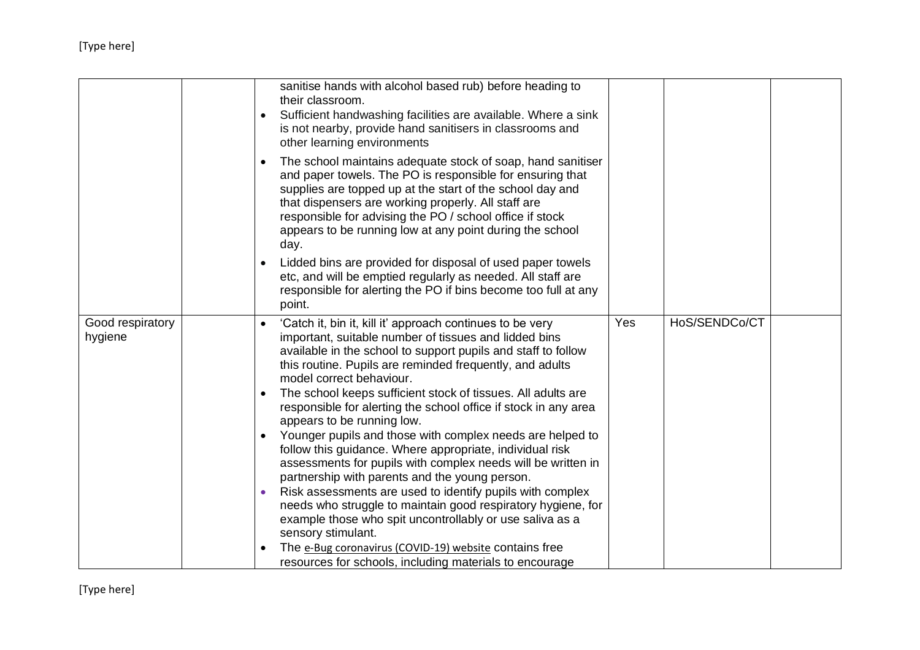|                             |  | sanitise hands with alcohol based rub) before heading to<br>their classroom.<br>Sufficient handwashing facilities are available. Where a sink<br>is not nearby, provide hand sanitisers in classrooms and<br>other learning environments                                                                                                                                     |     |               |  |
|-----------------------------|--|------------------------------------------------------------------------------------------------------------------------------------------------------------------------------------------------------------------------------------------------------------------------------------------------------------------------------------------------------------------------------|-----|---------------|--|
|                             |  | The school maintains adequate stock of soap, hand sanitiser<br>and paper towels. The PO is responsible for ensuring that<br>supplies are topped up at the start of the school day and<br>that dispensers are working properly. All staff are<br>responsible for advising the PO / school office if stock<br>appears to be running low at any point during the school<br>day. |     |               |  |
|                             |  | Lidded bins are provided for disposal of used paper towels<br>etc, and will be emptied regularly as needed. All staff are<br>responsible for alerting the PO if bins become too full at any<br>point.                                                                                                                                                                        |     |               |  |
| Good respiratory<br>hygiene |  | 'Catch it, bin it, kill it' approach continues to be very<br>important, suitable number of tissues and lidded bins<br>available in the school to support pupils and staff to follow<br>this routine. Pupils are reminded frequently, and adults<br>model correct behaviour.                                                                                                  | Yes | HoS/SENDCo/CT |  |
|                             |  | The school keeps sufficient stock of tissues. All adults are<br>responsible for alerting the school office if stock in any area<br>appears to be running low.                                                                                                                                                                                                                |     |               |  |
|                             |  | Younger pupils and those with complex needs are helped to<br>follow this guidance. Where appropriate, individual risk<br>assessments for pupils with complex needs will be written in<br>partnership with parents and the young person.                                                                                                                                      |     |               |  |
|                             |  | Risk assessments are used to identify pupils with complex<br>needs who struggle to maintain good respiratory hygiene, for<br>example those who spit uncontrollably or use saliva as a<br>sensory stimulant.                                                                                                                                                                  |     |               |  |
|                             |  | The e-Bug coronavirus (COVID-19) website contains free<br>resources for schools, including materials to encourage                                                                                                                                                                                                                                                            |     |               |  |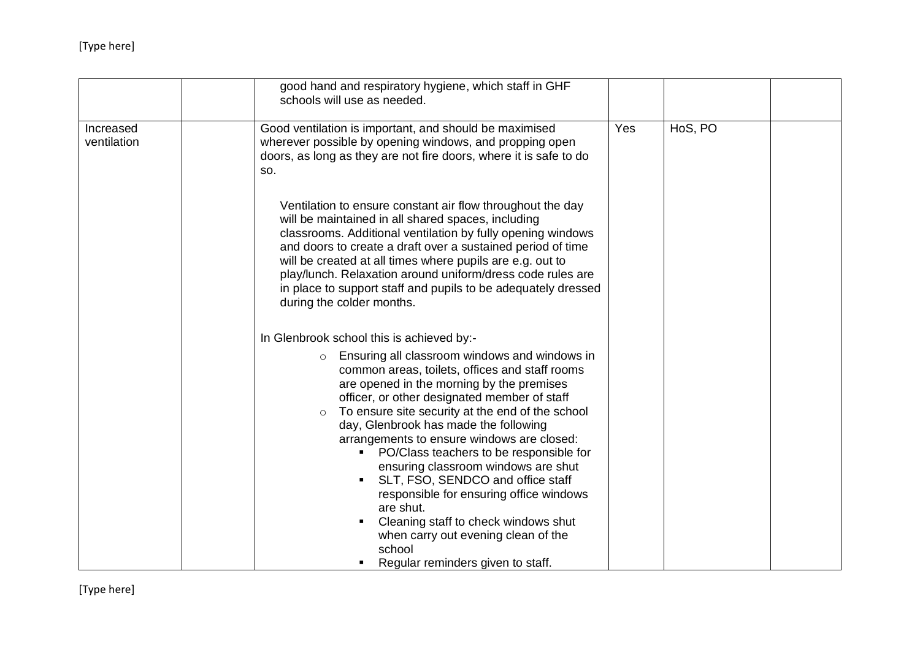|                          | good hand and respiratory hygiene, which staff in GHF<br>schools will use as needed.                                                                                                                                                                                                                                                                                                                                                                                                                                                                                                                                                                                                                                                                        |     |         |  |
|--------------------------|-------------------------------------------------------------------------------------------------------------------------------------------------------------------------------------------------------------------------------------------------------------------------------------------------------------------------------------------------------------------------------------------------------------------------------------------------------------------------------------------------------------------------------------------------------------------------------------------------------------------------------------------------------------------------------------------------------------------------------------------------------------|-----|---------|--|
| Increased<br>ventilation | Good ventilation is important, and should be maximised<br>wherever possible by opening windows, and propping open<br>doors, as long as they are not fire doors, where it is safe to do<br>SO.                                                                                                                                                                                                                                                                                                                                                                                                                                                                                                                                                               | Yes | HoS, PO |  |
|                          | Ventilation to ensure constant air flow throughout the day<br>will be maintained in all shared spaces, including<br>classrooms. Additional ventilation by fully opening windows<br>and doors to create a draft over a sustained period of time<br>will be created at all times where pupils are e.g. out to<br>play/lunch. Relaxation around uniform/dress code rules are<br>in place to support staff and pupils to be adequately dressed<br>during the colder months.                                                                                                                                                                                                                                                                                     |     |         |  |
|                          | In Glenbrook school this is achieved by:-<br>Ensuring all classroom windows and windows in<br>$\circ$<br>common areas, toilets, offices and staff rooms<br>are opened in the morning by the premises<br>officer, or other designated member of staff<br>To ensure site security at the end of the school<br>$\circ$<br>day, Glenbrook has made the following<br>arrangements to ensure windows are closed:<br>PO/Class teachers to be responsible for<br>ensuring classroom windows are shut<br>SLT, FSO, SENDCO and office staff<br>$\blacksquare$<br>responsible for ensuring office windows<br>are shut.<br>Cleaning staff to check windows shut<br>$\blacksquare$<br>when carry out evening clean of the<br>school<br>Regular reminders given to staff. |     |         |  |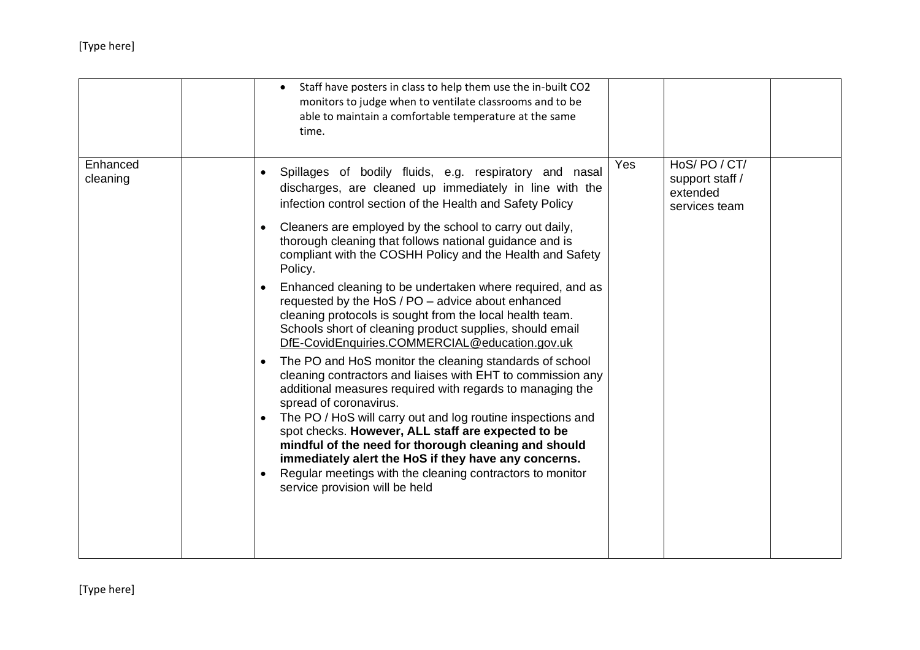|                      | Staff have posters in class to help them use the in-built CO2<br>monitors to judge when to ventilate classrooms and to be<br>able to maintain a comfortable temperature at the same<br>time.                                                                                                                                                                                                                                                                                                                                                                                                                                                                                                                                                                                                                                                                                                                                                                                                                                                                                                                                                                                                                                  |     |                                                            |  |
|----------------------|-------------------------------------------------------------------------------------------------------------------------------------------------------------------------------------------------------------------------------------------------------------------------------------------------------------------------------------------------------------------------------------------------------------------------------------------------------------------------------------------------------------------------------------------------------------------------------------------------------------------------------------------------------------------------------------------------------------------------------------------------------------------------------------------------------------------------------------------------------------------------------------------------------------------------------------------------------------------------------------------------------------------------------------------------------------------------------------------------------------------------------------------------------------------------------------------------------------------------------|-----|------------------------------------------------------------|--|
| Enhanced<br>cleaning | Spillages of bodily fluids, e.g. respiratory and nasal<br>discharges, are cleaned up immediately in line with the<br>infection control section of the Health and Safety Policy<br>Cleaners are employed by the school to carry out daily,<br>thorough cleaning that follows national guidance and is<br>compliant with the COSHH Policy and the Health and Safety<br>Policy.<br>Enhanced cleaning to be undertaken where required, and as<br>requested by the HoS / PO - advice about enhanced<br>cleaning protocols is sought from the local health team.<br>Schools short of cleaning product supplies, should email<br>DfE-CovidEnquiries.COMMERCIAL@education.gov.uk<br>The PO and HoS monitor the cleaning standards of school<br>cleaning contractors and liaises with EHT to commission any<br>additional measures required with regards to managing the<br>spread of coronavirus.<br>The PO / HoS will carry out and log routine inspections and<br>spot checks. However, ALL staff are expected to be<br>mindful of the need for thorough cleaning and should<br>immediately alert the HoS if they have any concerns.<br>Regular meetings with the cleaning contractors to monitor<br>service provision will be held | Yes | HoS/PO/CT/<br>support staff /<br>extended<br>services team |  |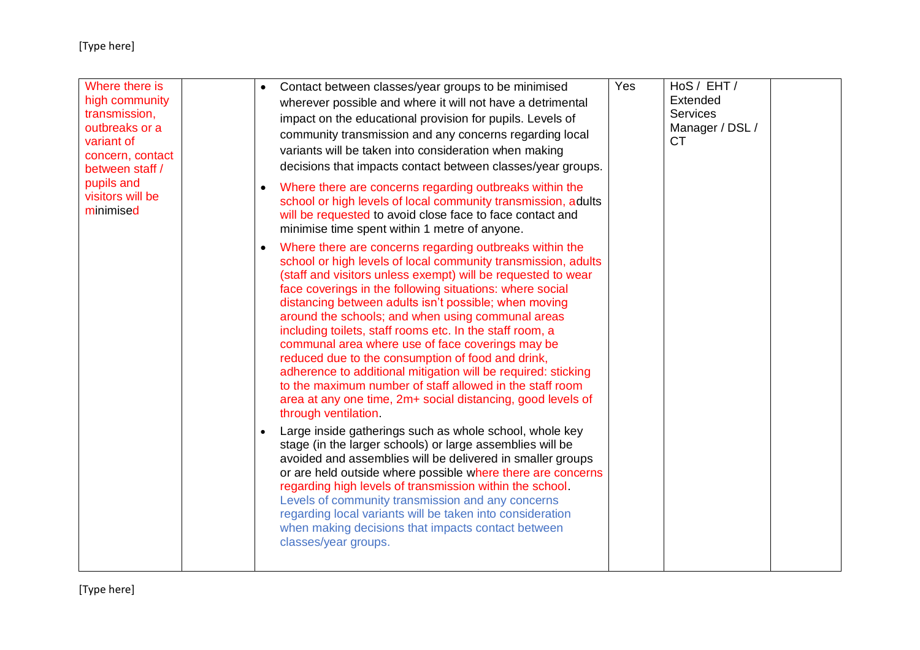| Where there is<br>high community<br>transmission,<br>outbreaks or a<br>variant of<br>concern, contact<br>between staff /<br>pupils and<br>visitors will be<br>minimised |  | Contact between classes/year groups to be minimised<br>wherever possible and where it will not have a detrimental<br>impact on the educational provision for pupils. Levels of<br>community transmission and any concerns regarding local<br>variants will be taken into consideration when making<br>decisions that impacts contact between classes/year groups.                                                                                                                                                                                                                                                                                                                                                                                           | Yes | HoS / EHT /<br>Extended<br><b>Services</b><br>Manager / DSL /<br><b>CT</b> |  |
|-------------------------------------------------------------------------------------------------------------------------------------------------------------------------|--|-------------------------------------------------------------------------------------------------------------------------------------------------------------------------------------------------------------------------------------------------------------------------------------------------------------------------------------------------------------------------------------------------------------------------------------------------------------------------------------------------------------------------------------------------------------------------------------------------------------------------------------------------------------------------------------------------------------------------------------------------------------|-----|----------------------------------------------------------------------------|--|
|                                                                                                                                                                         |  | Where there are concerns regarding outbreaks within the<br>school or high levels of local community transmission, adults<br>will be requested to avoid close face to face contact and<br>minimise time spent within 1 metre of anyone.                                                                                                                                                                                                                                                                                                                                                                                                                                                                                                                      |     |                                                                            |  |
|                                                                                                                                                                         |  | Where there are concerns regarding outbreaks within the<br>school or high levels of local community transmission, adults<br>(staff and visitors unless exempt) will be requested to wear<br>face coverings in the following situations: where social<br>distancing between adults isn't possible; when moving<br>around the schools; and when using communal areas<br>including toilets, staff rooms etc. In the staff room, a<br>communal area where use of face coverings may be<br>reduced due to the consumption of food and drink,<br>adherence to additional mitigation will be required: sticking<br>to the maximum number of staff allowed in the staff room<br>area at any one time, 2m+ social distancing, good levels of<br>through ventilation. |     |                                                                            |  |
|                                                                                                                                                                         |  | Large inside gatherings such as whole school, whole key<br>stage (in the larger schools) or large assemblies will be<br>avoided and assemblies will be delivered in smaller groups<br>or are held outside where possible where there are concerns<br>regarding high levels of transmission within the school.<br>Levels of community transmission and any concerns<br>regarding local variants will be taken into consideration<br>when making decisions that impacts contact between<br>classes/year groups.                                                                                                                                                                                                                                               |     |                                                                            |  |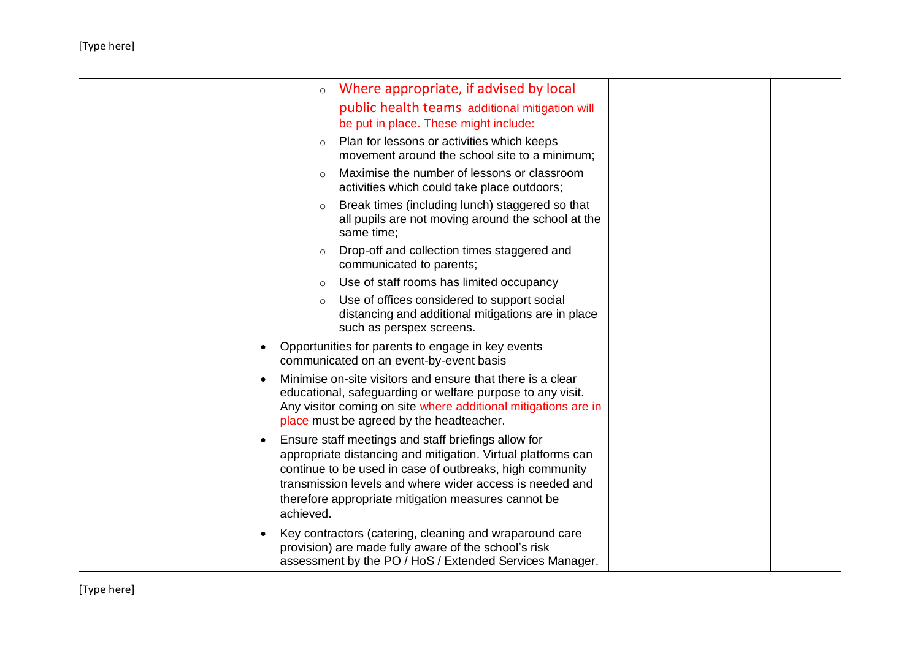|  | Where appropriate, if advised by local<br>$\circ$                                                                                                                                                                                                                                                                            |  |
|--|------------------------------------------------------------------------------------------------------------------------------------------------------------------------------------------------------------------------------------------------------------------------------------------------------------------------------|--|
|  | public health teams additional mitigation will                                                                                                                                                                                                                                                                               |  |
|  | be put in place. These might include:                                                                                                                                                                                                                                                                                        |  |
|  | Plan for lessons or activities which keeps<br>$\circ$<br>movement around the school site to a minimum;                                                                                                                                                                                                                       |  |
|  | Maximise the number of lessons or classroom<br>$\Omega$<br>activities which could take place outdoors;                                                                                                                                                                                                                       |  |
|  | Break times (including lunch) staggered so that<br>$\circ$<br>all pupils are not moving around the school at the<br>same time;                                                                                                                                                                                               |  |
|  | Drop-off and collection times staggered and<br>$\circ$<br>communicated to parents;                                                                                                                                                                                                                                           |  |
|  | Use of staff rooms has limited occupancy<br>$\Theta$                                                                                                                                                                                                                                                                         |  |
|  | Use of offices considered to support social<br>$\circ$<br>distancing and additional mitigations are in place<br>such as perspex screens.                                                                                                                                                                                     |  |
|  | Opportunities for parents to engage in key events<br>$\bullet$<br>communicated on an event-by-event basis                                                                                                                                                                                                                    |  |
|  | Minimise on-site visitors and ensure that there is a clear<br>$\bullet$<br>educational, safeguarding or welfare purpose to any visit.<br>Any visitor coming on site where additional mitigations are in<br>place must be agreed by the headteacher.                                                                          |  |
|  | Ensure staff meetings and staff briefings allow for<br>$\bullet$<br>appropriate distancing and mitigation. Virtual platforms can<br>continue to be used in case of outbreaks, high community<br>transmission levels and where wider access is needed and<br>therefore appropriate mitigation measures cannot be<br>achieved. |  |
|  | Key contractors (catering, cleaning and wraparound care<br>$\bullet$<br>provision) are made fully aware of the school's risk<br>assessment by the PO / HoS / Extended Services Manager.                                                                                                                                      |  |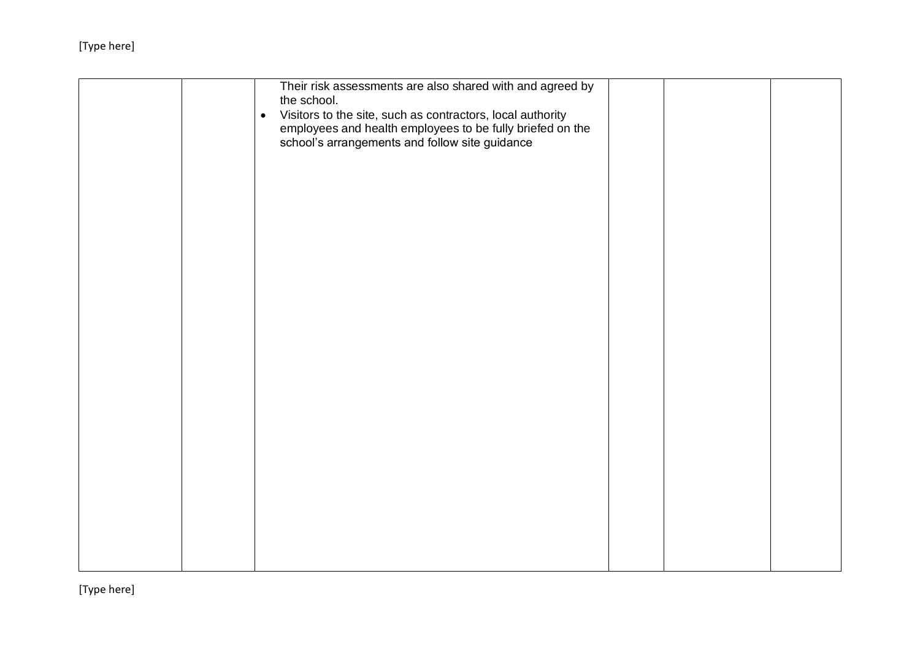|  | Their risk assessments are also shared with and agreed by<br>the school.<br>Visitors to the site, such as contractors, local authority<br>$\bullet$<br>employees and health employees to be fully briefed on the<br>school's arrangements and follow site guidance |  |  |
|--|--------------------------------------------------------------------------------------------------------------------------------------------------------------------------------------------------------------------------------------------------------------------|--|--|
|  |                                                                                                                                                                                                                                                                    |  |  |
|  |                                                                                                                                                                                                                                                                    |  |  |
|  |                                                                                                                                                                                                                                                                    |  |  |
|  |                                                                                                                                                                                                                                                                    |  |  |
|  |                                                                                                                                                                                                                                                                    |  |  |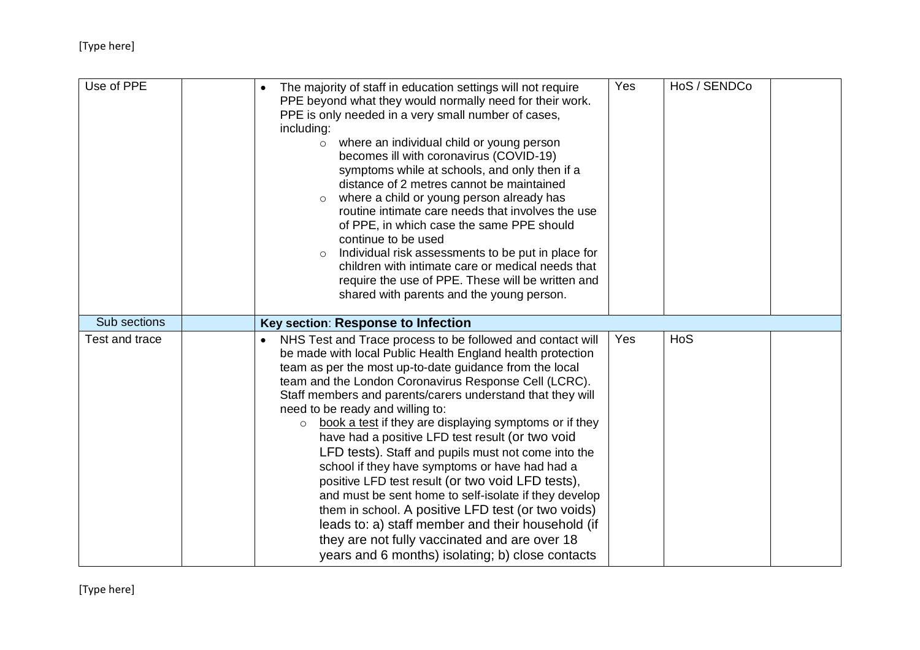| Use of PPE     | The majority of staff in education settings will not require<br>PPE beyond what they would normally need for their work.<br>PPE is only needed in a very small number of cases,<br>including:<br>where an individual child or young person<br>$\circ$<br>becomes ill with coronavirus (COVID-19)<br>symptoms while at schools, and only then if a<br>distance of 2 metres cannot be maintained<br>where a child or young person already has<br>$\circ$<br>routine intimate care needs that involves the use<br>of PPE, in which case the same PPE should<br>continue to be used<br>Individual risk assessments to be put in place for<br>children with intimate care or medical needs that<br>require the use of PPE. These will be written and<br>shared with parents and the young person.                                                                                                                   | Yes | HoS / SENDCo |  |
|----------------|----------------------------------------------------------------------------------------------------------------------------------------------------------------------------------------------------------------------------------------------------------------------------------------------------------------------------------------------------------------------------------------------------------------------------------------------------------------------------------------------------------------------------------------------------------------------------------------------------------------------------------------------------------------------------------------------------------------------------------------------------------------------------------------------------------------------------------------------------------------------------------------------------------------|-----|--------------|--|
| Sub sections   | Key section: Response to Infection                                                                                                                                                                                                                                                                                                                                                                                                                                                                                                                                                                                                                                                                                                                                                                                                                                                                             |     |              |  |
| Test and trace | NHS Test and Trace process to be followed and contact will<br>be made with local Public Health England health protection<br>team as per the most up-to-date guidance from the local<br>team and the London Coronavirus Response Cell (LCRC).<br>Staff members and parents/carers understand that they will<br>need to be ready and willing to:<br>book a test if they are displaying symptoms or if they<br>$\circ$<br>have had a positive LFD test result (or two void<br>LFD tests). Staff and pupils must not come into the<br>school if they have symptoms or have had had a<br>positive LFD test result (or two void LFD tests),<br>and must be sent home to self-isolate if they develop<br>them in school. A positive LFD test (or two voids)<br>leads to: a) staff member and their household (if<br>they are not fully vaccinated and are over 18<br>years and 6 months) isolating; b) close contacts | Yes | <b>HoS</b>   |  |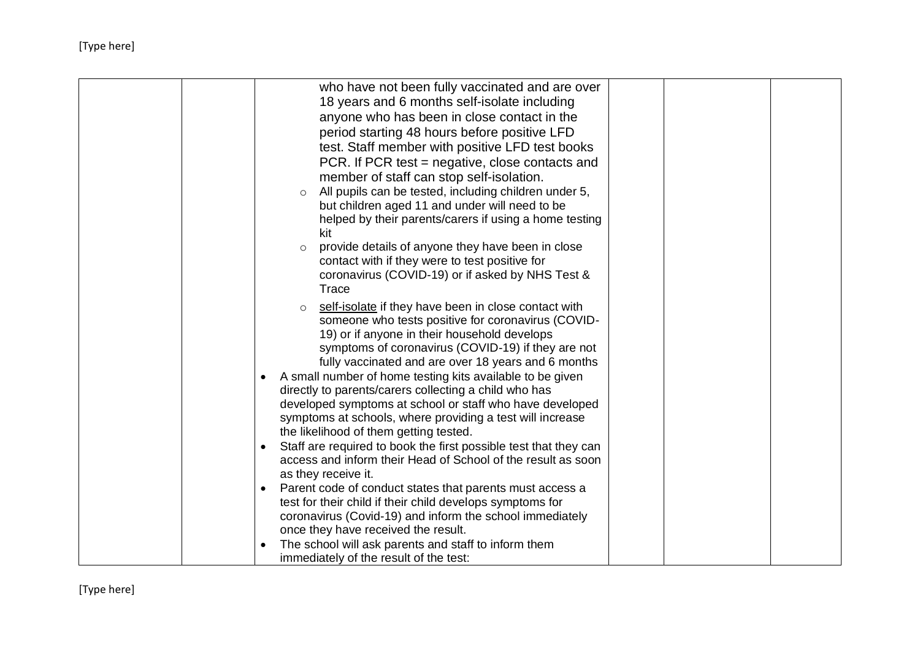| who have not been fully vaccinated and are over<br>18 years and 6 months self-isolate including<br>anyone who has been in close contact in the<br>period starting 48 hours before positive LFD<br>test. Staff member with positive LFD test books<br>PCR. If PCR test = negative, close contacts and                                                                                                                                                                                                                                                                                              |
|---------------------------------------------------------------------------------------------------------------------------------------------------------------------------------------------------------------------------------------------------------------------------------------------------------------------------------------------------------------------------------------------------------------------------------------------------------------------------------------------------------------------------------------------------------------------------------------------------|
| member of staff can stop self-isolation.<br>All pupils can be tested, including children under 5,<br>$\circ$<br>but children aged 11 and under will need to be<br>helped by their parents/carers if using a home testing<br>kit<br>provide details of anyone they have been in close<br>$\circ$<br>contact with if they were to test positive for<br>coronavirus (COVID-19) or if asked by NHS Test &                                                                                                                                                                                             |
| Trace<br>self-isolate if they have been in close contact with<br>$\circ$<br>someone who tests positive for coronavirus (COVID-<br>19) or if anyone in their household develops<br>symptoms of coronavirus (COVID-19) if they are not<br>fully vaccinated and are over 18 years and 6 months<br>A small number of home testing kits available to be given<br>$\bullet$<br>directly to parents/carers collecting a child who has<br>developed symptoms at school or staff who have developed<br>symptoms at schools, where providing a test will increase<br>the likelihood of them getting tested. |
| Staff are required to book the first possible test that they can<br>$\bullet$<br>access and inform their Head of School of the result as soon<br>as they receive it.<br>Parent code of conduct states that parents must access a<br>test for their child if their child develops symptoms for<br>coronavirus (Covid-19) and inform the school immediately                                                                                                                                                                                                                                         |
| once they have received the result.<br>The school will ask parents and staff to inform them<br>immediately of the result of the test:                                                                                                                                                                                                                                                                                                                                                                                                                                                             |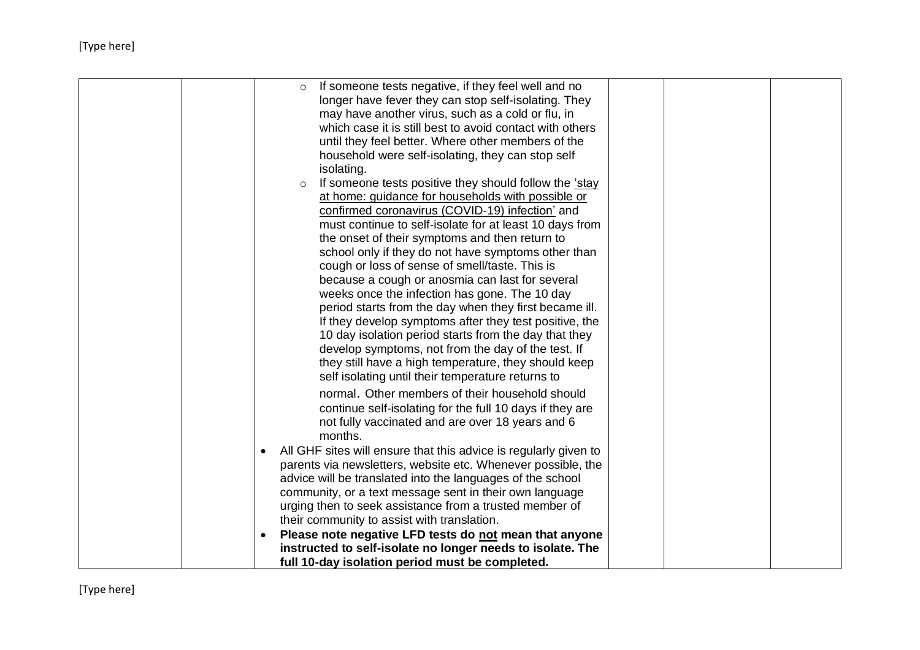|  | If someone tests negative, if they feel well and no<br>$\circ$<br>longer have fever they can stop self-isolating. They |  |
|--|------------------------------------------------------------------------------------------------------------------------|--|
|  | may have another virus, such as a cold or flu, in                                                                      |  |
|  | which case it is still best to avoid contact with others                                                               |  |
|  | until they feel better. Where other members of the                                                                     |  |
|  | household were self-isolating, they can stop self                                                                      |  |
|  | isolating.                                                                                                             |  |
|  | If someone tests positive they should follow the 'stay<br>$\circ$                                                      |  |
|  | at home: guidance for households with possible or                                                                      |  |
|  | confirmed coronavirus (COVID-19) infection' and                                                                        |  |
|  | must continue to self-isolate for at least 10 days from                                                                |  |
|  | the onset of their symptoms and then return to                                                                         |  |
|  | school only if they do not have symptoms other than                                                                    |  |
|  | cough or loss of sense of smell/taste. This is                                                                         |  |
|  | because a cough or anosmia can last for several                                                                        |  |
|  | weeks once the infection has gone. The 10 day                                                                          |  |
|  | period starts from the day when they first became ill.                                                                 |  |
|  | If they develop symptoms after they test positive, the                                                                 |  |
|  | 10 day isolation period starts from the day that they                                                                  |  |
|  | develop symptoms, not from the day of the test. If                                                                     |  |
|  | they still have a high temperature, they should keep                                                                   |  |
|  | self isolating until their temperature returns to                                                                      |  |
|  | normal. Other members of their household should                                                                        |  |
|  | continue self-isolating for the full 10 days if they are                                                               |  |
|  | not fully vaccinated and are over 18 years and 6                                                                       |  |
|  | months.                                                                                                                |  |
|  | All GHF sites will ensure that this advice is regularly given to<br>$\bullet$                                          |  |
|  | parents via newsletters, website etc. Whenever possible, the                                                           |  |
|  | advice will be translated into the languages of the school                                                             |  |
|  | community, or a text message sent in their own language                                                                |  |
|  | urging then to seek assistance from a trusted member of                                                                |  |
|  | their community to assist with translation.                                                                            |  |
|  | Please note negative LFD tests do not mean that anyone                                                                 |  |
|  | instructed to self-isolate no longer needs to isolate. The<br>full 10-day isolation period must be completed.          |  |
|  |                                                                                                                        |  |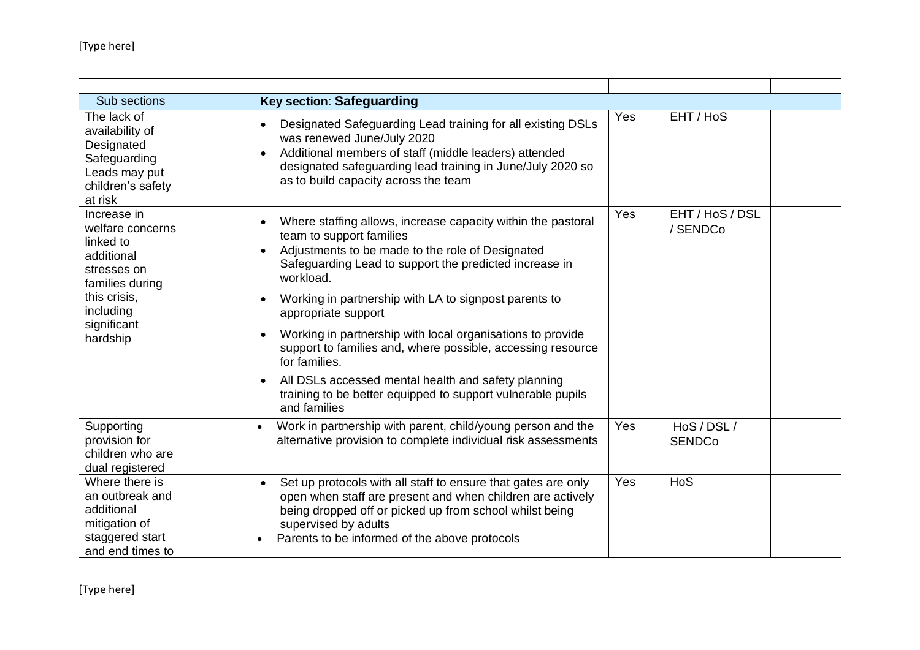| Sub sections                                                                                                                                         | <b>Key section: Safeguarding</b>                                                                                                                                                                                                                                                                                                                                                                                                                                                                                                                                                        |            |                              |  |
|------------------------------------------------------------------------------------------------------------------------------------------------------|-----------------------------------------------------------------------------------------------------------------------------------------------------------------------------------------------------------------------------------------------------------------------------------------------------------------------------------------------------------------------------------------------------------------------------------------------------------------------------------------------------------------------------------------------------------------------------------------|------------|------------------------------|--|
| The lack of<br>availability of<br>Designated<br>Safeguarding<br>Leads may put<br>children's safety<br>at risk                                        | Designated Safeguarding Lead training for all existing DSLs<br>$\bullet$<br>was renewed June/July 2020<br>Additional members of staff (middle leaders) attended<br>designated safeguarding lead training in June/July 2020 so<br>as to build capacity across the team                                                                                                                                                                                                                                                                                                                   | <b>Yes</b> | EHT / HoS                    |  |
| Increase in<br>welfare concerns<br>linked to<br>additional<br>stresses on<br>families during<br>this crisis,<br>including<br>significant<br>hardship | Where staffing allows, increase capacity within the pastoral<br>team to support families<br>Adjustments to be made to the role of Designated<br>Safeguarding Lead to support the predicted increase in<br>workload.<br>Working in partnership with LA to signpost parents to<br>appropriate support<br>Working in partnership with local organisations to provide<br>support to families and, where possible, accessing resource<br>for families.<br>All DSLs accessed mental health and safety planning<br>training to be better equipped to support vulnerable pupils<br>and families | Yes        | EHT / HoS / DSL<br>/ SENDCo  |  |
| Supporting<br>provision for<br>children who are<br>dual registered                                                                                   | Work in partnership with parent, child/young person and the<br>alternative provision to complete individual risk assessments                                                                                                                                                                                                                                                                                                                                                                                                                                                            | Yes        | HoS / DSL /<br><b>SENDCo</b> |  |
| Where there is<br>an outbreak and<br>additional<br>mitigation of<br>staggered start<br>and end times to                                              | Set up protocols with all staff to ensure that gates are only<br>$\bullet$<br>open when staff are present and when children are actively<br>being dropped off or picked up from school whilst being<br>supervised by adults<br>Parents to be informed of the above protocols                                                                                                                                                                                                                                                                                                            | Yes        | HoS                          |  |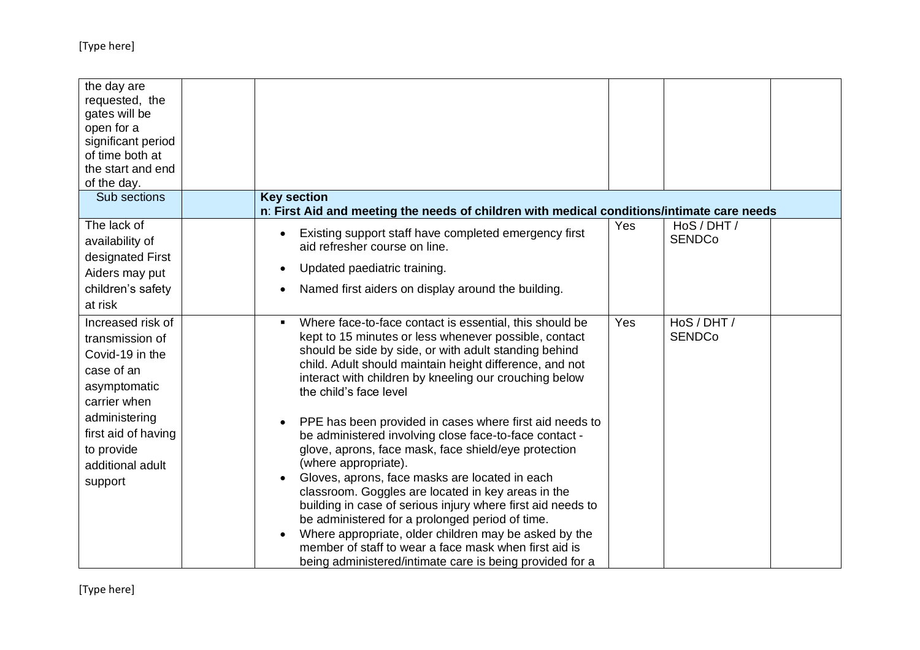| the day are<br>requested, the<br>gates will be<br>open for a<br>significant period<br>of time both at<br>the start and end<br>of the day.                                                  |                                                                                                                                                                                                                                                                                                                                                                                                                                                                                                                                                                                                                                                                                                                                                                                                                                                                                                                                                    |     |                              |  |
|--------------------------------------------------------------------------------------------------------------------------------------------------------------------------------------------|----------------------------------------------------------------------------------------------------------------------------------------------------------------------------------------------------------------------------------------------------------------------------------------------------------------------------------------------------------------------------------------------------------------------------------------------------------------------------------------------------------------------------------------------------------------------------------------------------------------------------------------------------------------------------------------------------------------------------------------------------------------------------------------------------------------------------------------------------------------------------------------------------------------------------------------------------|-----|------------------------------|--|
| Sub sections                                                                                                                                                                               | <b>Key section</b><br>n: First Aid and meeting the needs of children with medical conditions/intimate care needs                                                                                                                                                                                                                                                                                                                                                                                                                                                                                                                                                                                                                                                                                                                                                                                                                                   |     |                              |  |
| The lack of<br>availability of<br>designated First<br>Aiders may put<br>children's safety<br>at risk                                                                                       | Existing support staff have completed emergency first<br>aid refresher course on line.<br>Updated paediatric training.<br>Named first aiders on display around the building.                                                                                                                                                                                                                                                                                                                                                                                                                                                                                                                                                                                                                                                                                                                                                                       | Yes | HoS / DHT /<br><b>SENDCo</b> |  |
| Increased risk of<br>transmission of<br>Covid-19 in the<br>case of an<br>asymptomatic<br>carrier when<br>administering<br>first aid of having<br>to provide<br>additional adult<br>support | Where face-to-face contact is essential, this should be<br>kept to 15 minutes or less whenever possible, contact<br>should be side by side, or with adult standing behind<br>child. Adult should maintain height difference, and not<br>interact with children by kneeling our crouching below<br>the child's face level<br>PPE has been provided in cases where first aid needs to<br>be administered involving close face-to-face contact -<br>glove, aprons, face mask, face shield/eye protection<br>(where appropriate).<br>Gloves, aprons, face masks are located in each<br>classroom. Goggles are located in key areas in the<br>building in case of serious injury where first aid needs to<br>be administered for a prolonged period of time.<br>Where appropriate, older children may be asked by the<br>$\bullet$<br>member of staff to wear a face mask when first aid is<br>being administered/intimate care is being provided for a | Yes | HoS / DHT /<br><b>SENDCo</b> |  |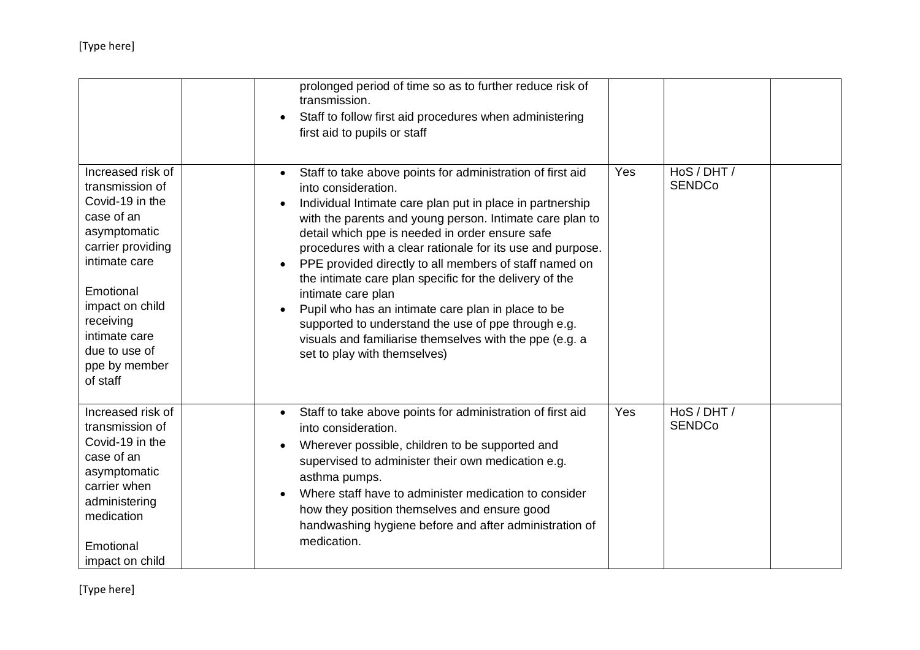|                                                                                                                                                                                                                                         | prolonged period of time so as to further reduce risk of<br>transmission.<br>Staff to follow first aid procedures when administering<br>first aid to pupils or staff                                                                                                                                                                                                                                                                                                                                                                                                                                                                                                                        |     |                              |  |
|-----------------------------------------------------------------------------------------------------------------------------------------------------------------------------------------------------------------------------------------|---------------------------------------------------------------------------------------------------------------------------------------------------------------------------------------------------------------------------------------------------------------------------------------------------------------------------------------------------------------------------------------------------------------------------------------------------------------------------------------------------------------------------------------------------------------------------------------------------------------------------------------------------------------------------------------------|-----|------------------------------|--|
| Increased risk of<br>transmission of<br>Covid-19 in the<br>case of an<br>asymptomatic<br>carrier providing<br>intimate care<br>Emotional<br>impact on child<br>receiving<br>intimate care<br>due to use of<br>ppe by member<br>of staff | Staff to take above points for administration of first aid<br>$\bullet$<br>into consideration.<br>Individual Intimate care plan put in place in partnership<br>with the parents and young person. Intimate care plan to<br>detail which ppe is needed in order ensure safe<br>procedures with a clear rationale for its use and purpose.<br>PPE provided directly to all members of staff named on<br>the intimate care plan specific for the delivery of the<br>intimate care plan<br>Pupil who has an intimate care plan in place to be<br>supported to understand the use of ppe through e.g.<br>visuals and familiarise themselves with the ppe (e.g. a<br>set to play with themselves) | Yes | HoS / DHT /<br><b>SENDCo</b> |  |
| Increased risk of<br>transmission of<br>Covid-19 in the<br>case of an<br>asymptomatic<br>carrier when<br>administering<br>medication<br>Emotional<br>impact on child                                                                    | Staff to take above points for administration of first aid<br>into consideration.<br>Wherever possible, children to be supported and<br>supervised to administer their own medication e.g.<br>asthma pumps.<br>Where staff have to administer medication to consider<br>how they position themselves and ensure good<br>handwashing hygiene before and after administration of<br>medication.                                                                                                                                                                                                                                                                                               | Yes | HoS / DHT /<br><b>SENDCo</b> |  |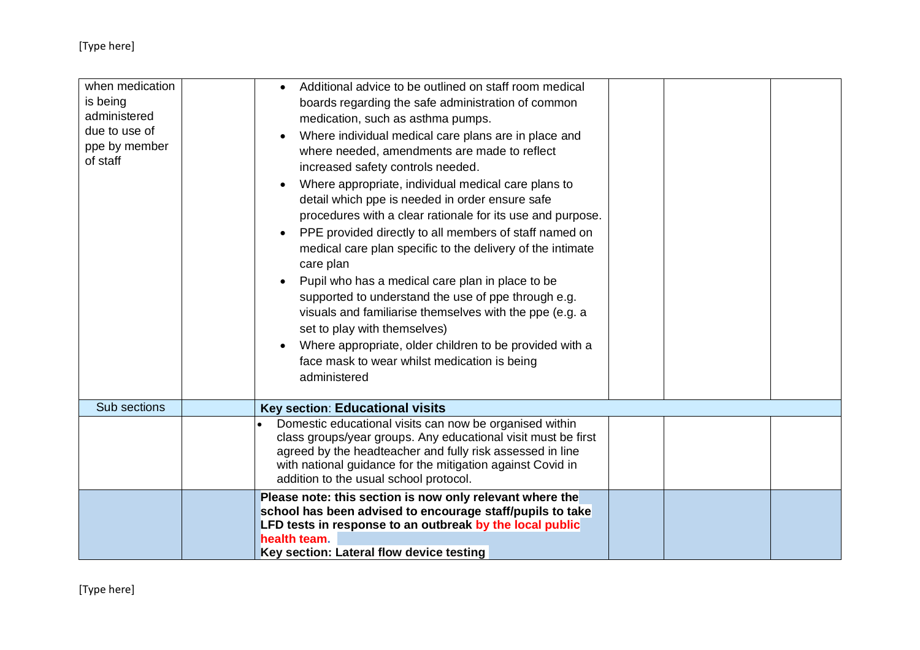| when medication<br>is being<br>administered<br>due to use of<br>ppe by member<br>of staff | Additional advice to be outlined on staff room medical<br>boards regarding the safe administration of common<br>medication, such as asthma pumps.<br>Where individual medical care plans are in place and<br>where needed, amendments are made to reflect<br>increased safety controls needed.<br>Where appropriate, individual medical care plans to<br>detail which ppe is needed in order ensure safe<br>procedures with a clear rationale for its use and purpose.<br>PPE provided directly to all members of staff named on<br>medical care plan specific to the delivery of the intimate<br>care plan<br>Pupil who has a medical care plan in place to be<br>supported to understand the use of ppe through e.g.<br>visuals and familiarise themselves with the ppe (e.g. a<br>set to play with themselves)<br>Where appropriate, older children to be provided with a<br>face mask to wear whilst medication is being<br>administered |
|-------------------------------------------------------------------------------------------|----------------------------------------------------------------------------------------------------------------------------------------------------------------------------------------------------------------------------------------------------------------------------------------------------------------------------------------------------------------------------------------------------------------------------------------------------------------------------------------------------------------------------------------------------------------------------------------------------------------------------------------------------------------------------------------------------------------------------------------------------------------------------------------------------------------------------------------------------------------------------------------------------------------------------------------------|
| Sub sections                                                                              | <b>Key section: Educational visits</b>                                                                                                                                                                                                                                                                                                                                                                                                                                                                                                                                                                                                                                                                                                                                                                                                                                                                                                       |
|                                                                                           | Domestic educational visits can now be organised within<br>class groups/year groups. Any educational visit must be first<br>agreed by the headteacher and fully risk assessed in line<br>with national guidance for the mitigation against Covid in<br>addition to the usual school protocol.                                                                                                                                                                                                                                                                                                                                                                                                                                                                                                                                                                                                                                                |
|                                                                                           | Please note: this section is now only relevant where the<br>school has been advised to encourage staff/pupils to take<br>LFD tests in response to an outbreak by the local public<br>health team.<br>Key section: Lateral flow device testing                                                                                                                                                                                                                                                                                                                                                                                                                                                                                                                                                                                                                                                                                                |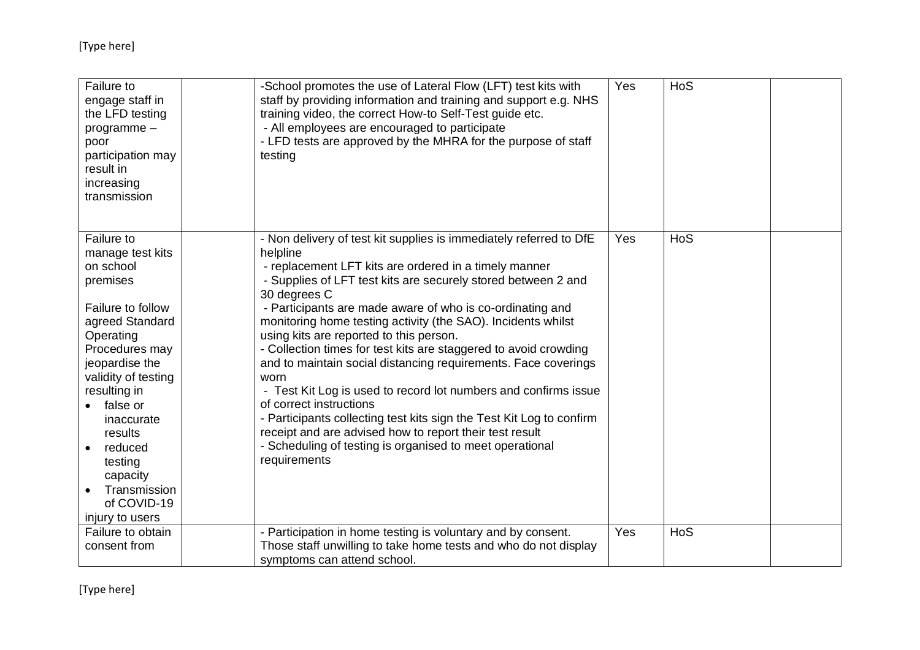| Failure to<br>engage staff in<br>the LFD testing<br>$programme -$<br>poor<br>participation may<br>result in<br>increasing<br>transmission                                                                                                                                                                        | -School promotes the use of Lateral Flow (LFT) test kits with<br>staff by providing information and training and support e.g. NHS<br>training video, the correct How-to Self-Test guide etc.<br>- All employees are encouraged to participate<br>- LFD tests are approved by the MHRA for the purpose of staff<br>testing                                                                                                                                                                                                                                                                                                                                                                                                                                                                                                                                   | Yes | HoS |  |
|------------------------------------------------------------------------------------------------------------------------------------------------------------------------------------------------------------------------------------------------------------------------------------------------------------------|-------------------------------------------------------------------------------------------------------------------------------------------------------------------------------------------------------------------------------------------------------------------------------------------------------------------------------------------------------------------------------------------------------------------------------------------------------------------------------------------------------------------------------------------------------------------------------------------------------------------------------------------------------------------------------------------------------------------------------------------------------------------------------------------------------------------------------------------------------------|-----|-----|--|
| Failure to<br>manage test kits<br>on school<br>premises<br>Failure to follow<br>agreed Standard<br>Operating<br>Procedures may<br>jeopardise the<br>validity of testing<br>resulting in<br>false or<br>inaccurate<br>results<br>reduced<br>testing<br>capacity<br>Transmission<br>of COVID-19<br>injury to users | - Non delivery of test kit supplies is immediately referred to DfE<br>helpline<br>- replacement LFT kits are ordered in a timely manner<br>- Supplies of LFT test kits are securely stored between 2 and<br>30 degrees C<br>- Participants are made aware of who is co-ordinating and<br>monitoring home testing activity (the SAO). Incidents whilst<br>using kits are reported to this person.<br>- Collection times for test kits are staggered to avoid crowding<br>and to maintain social distancing requirements. Face coverings<br>worn<br>- Test Kit Log is used to record lot numbers and confirms issue<br>of correct instructions<br>- Participants collecting test kits sign the Test Kit Log to confirm<br>receipt and are advised how to report their test result<br>- Scheduling of testing is organised to meet operational<br>requirements | Yes | HoS |  |
| Failure to obtain<br>consent from                                                                                                                                                                                                                                                                                | - Participation in home testing is voluntary and by consent.<br>Those staff unwilling to take home tests and who do not display<br>symptoms can attend school.                                                                                                                                                                                                                                                                                                                                                                                                                                                                                                                                                                                                                                                                                              | Yes | HoS |  |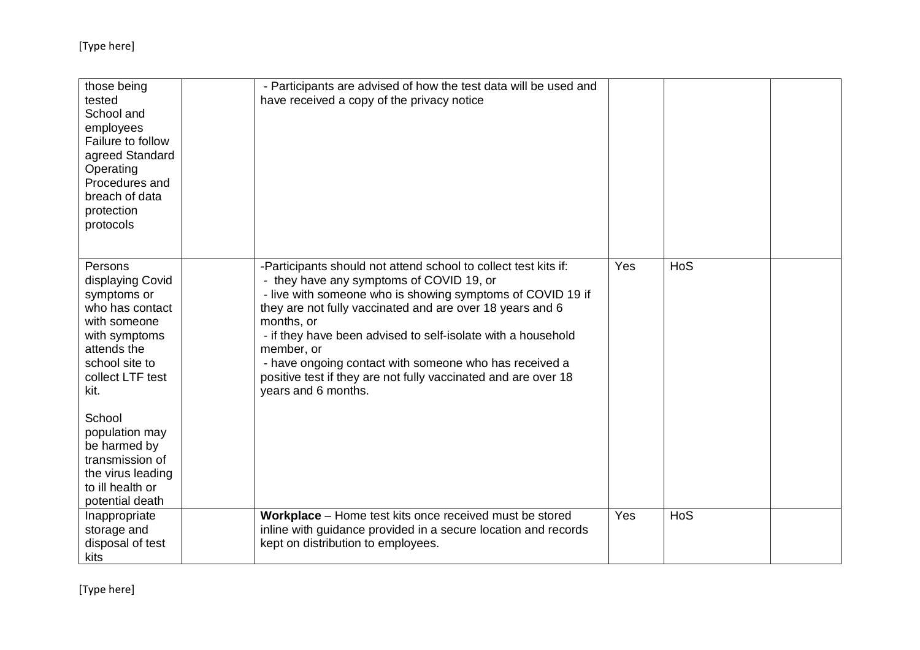| those being<br>tested<br>School and<br>employees<br>Failure to follow<br>agreed Standard<br>Operating<br>Procedures and<br>breach of data<br>protection<br>protocols                                    | - Participants are advised of how the test data will be used and<br>have received a copy of the privacy notice                                                                                                                                                                                                                                                                                                                                                                        |     |     |  |
|---------------------------------------------------------------------------------------------------------------------------------------------------------------------------------------------------------|---------------------------------------------------------------------------------------------------------------------------------------------------------------------------------------------------------------------------------------------------------------------------------------------------------------------------------------------------------------------------------------------------------------------------------------------------------------------------------------|-----|-----|--|
| Persons<br>displaying Covid<br>symptoms or<br>who has contact<br>with someone<br>with symptoms<br>attends the<br>school site to<br>collect LTF test<br>kit.<br>School<br>population may<br>be harmed by | -Participants should not attend school to collect test kits if:<br>- they have any symptoms of COVID 19, or<br>- live with someone who is showing symptoms of COVID 19 if<br>they are not fully vaccinated and are over 18 years and 6<br>months, or<br>- if they have been advised to self-isolate with a household<br>member, or<br>- have ongoing contact with someone who has received a<br>positive test if they are not fully vaccinated and are over 18<br>years and 6 months. | Yes | HoS |  |
| transmission of<br>the virus leading<br>to ill health or<br>potential death                                                                                                                             |                                                                                                                                                                                                                                                                                                                                                                                                                                                                                       |     |     |  |
| Inappropriate<br>storage and<br>disposal of test<br>kits                                                                                                                                                | Workplace - Home test kits once received must be stored<br>inline with guidance provided in a secure location and records<br>kept on distribution to employees.                                                                                                                                                                                                                                                                                                                       | Yes | HoS |  |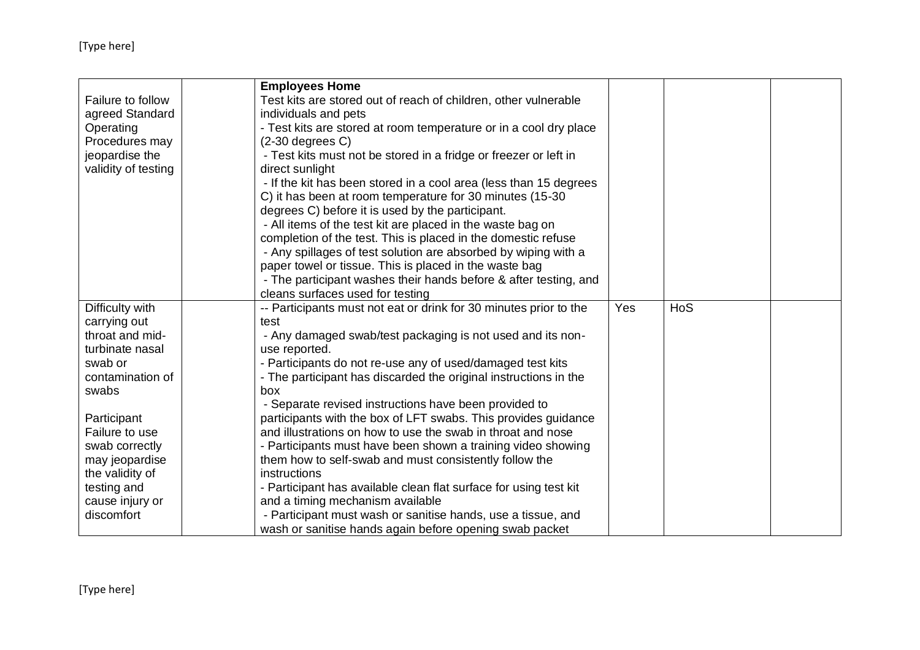|                     | <b>Employees Home</b>                                             |            |     |  |
|---------------------|-------------------------------------------------------------------|------------|-----|--|
| Failure to follow   | Test kits are stored out of reach of children, other vulnerable   |            |     |  |
| agreed Standard     | individuals and pets                                              |            |     |  |
| Operating           | - Test kits are stored at room temperature or in a cool dry place |            |     |  |
| Procedures may      | $(2-30$ degrees $C$ )                                             |            |     |  |
| jeopardise the      | - Test kits must not be stored in a fridge or freezer or left in  |            |     |  |
| validity of testing | direct sunlight                                                   |            |     |  |
|                     | - If the kit has been stored in a cool area (less than 15 degrees |            |     |  |
|                     | C) it has been at room temperature for 30 minutes (15-30          |            |     |  |
|                     | degrees C) before it is used by the participant.                  |            |     |  |
|                     | - All items of the test kit are placed in the waste bag on        |            |     |  |
|                     | completion of the test. This is placed in the domestic refuse     |            |     |  |
|                     | - Any spillages of test solution are absorbed by wiping with a    |            |     |  |
|                     | paper towel or tissue. This is placed in the waste bag            |            |     |  |
|                     | - The participant washes their hands before & after testing, and  |            |     |  |
|                     | cleans surfaces used for testing                                  |            |     |  |
| Difficulty with     | -- Participants must not eat or drink for 30 minutes prior to the | <b>Yes</b> | HoS |  |
| carrying out        | test                                                              |            |     |  |
| throat and mid-     | - Any damaged swab/test packaging is not used and its non-        |            |     |  |
| turbinate nasal     | use reported.                                                     |            |     |  |
| swab or             | - Participants do not re-use any of used/damaged test kits        |            |     |  |
| contamination of    | - The participant has discarded the original instructions in the  |            |     |  |
| swabs               | box                                                               |            |     |  |
|                     | - Separate revised instructions have been provided to             |            |     |  |
| Participant         | participants with the box of LFT swabs. This provides guidance    |            |     |  |
| Failure to use      | and illustrations on how to use the swab in throat and nose       |            |     |  |
| swab correctly      | - Participants must have been shown a training video showing      |            |     |  |
| may jeopardise      | them how to self-swab and must consistently follow the            |            |     |  |
| the validity of     | instructions                                                      |            |     |  |
| testing and         | - Participant has available clean flat surface for using test kit |            |     |  |
| cause injury or     | and a timing mechanism available                                  |            |     |  |
| discomfort          | - Participant must wash or sanitise hands, use a tissue, and      |            |     |  |
|                     | wash or sanitise hands again before opening swab packet           |            |     |  |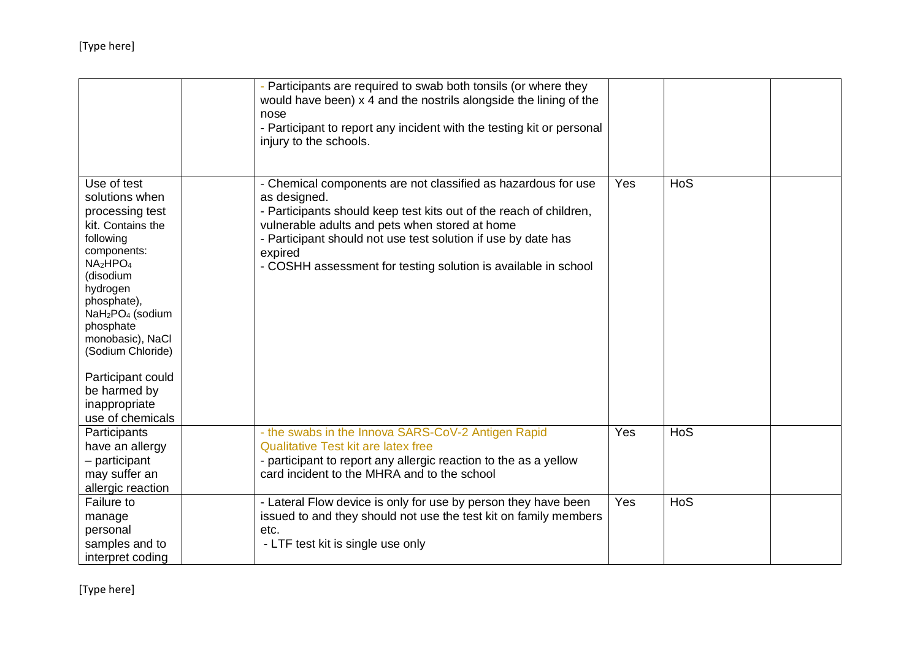|                                                                                                                                                                                                                                                                                                                      | - Participants are required to swab both tonsils (or where they<br>would have been) x 4 and the nostrils alongside the lining of the<br>nose<br>- Participant to report any incident with the testing kit or personal<br>injury to the schools.                                                                                                     |     |     |  |
|----------------------------------------------------------------------------------------------------------------------------------------------------------------------------------------------------------------------------------------------------------------------------------------------------------------------|-----------------------------------------------------------------------------------------------------------------------------------------------------------------------------------------------------------------------------------------------------------------------------------------------------------------------------------------------------|-----|-----|--|
| Use of test<br>solutions when<br>processing test<br>kit. Contains the<br>following<br>components:<br>NA <sub>2</sub> HPO <sub>4</sub><br>(disodium<br>hydrogen<br>phosphate),<br>NaH <sub>2</sub> PO <sub>4</sub> (sodium<br>phosphate<br>monobasic), NaCl<br>(Sodium Chloride)<br>Participant could<br>be harmed by | - Chemical components are not classified as hazardous for use<br>as designed.<br>- Participants should keep test kits out of the reach of children,<br>vulnerable adults and pets when stored at home<br>- Participant should not use test solution if use by date has<br>expired<br>- COSHH assessment for testing solution is available in school | Yes | HoS |  |
| inappropriate<br>use of chemicals                                                                                                                                                                                                                                                                                    |                                                                                                                                                                                                                                                                                                                                                     |     |     |  |
| Participants<br>have an allergy<br>- participant<br>may suffer an<br>allergic reaction                                                                                                                                                                                                                               | - the swabs in the Innova SARS-CoV-2 Antigen Rapid<br><b>Qualitative Test kit are latex free</b><br>- participant to report any allergic reaction to the as a yellow<br>card incident to the MHRA and to the school                                                                                                                                 | Yes | HoS |  |
| Failure to<br>manage<br>personal<br>samples and to<br>interpret coding                                                                                                                                                                                                                                               | - Lateral Flow device is only for use by person they have been<br>issued to and they should not use the test kit on family members<br>etc.<br>- LTF test kit is single use only                                                                                                                                                                     | Yes | HoS |  |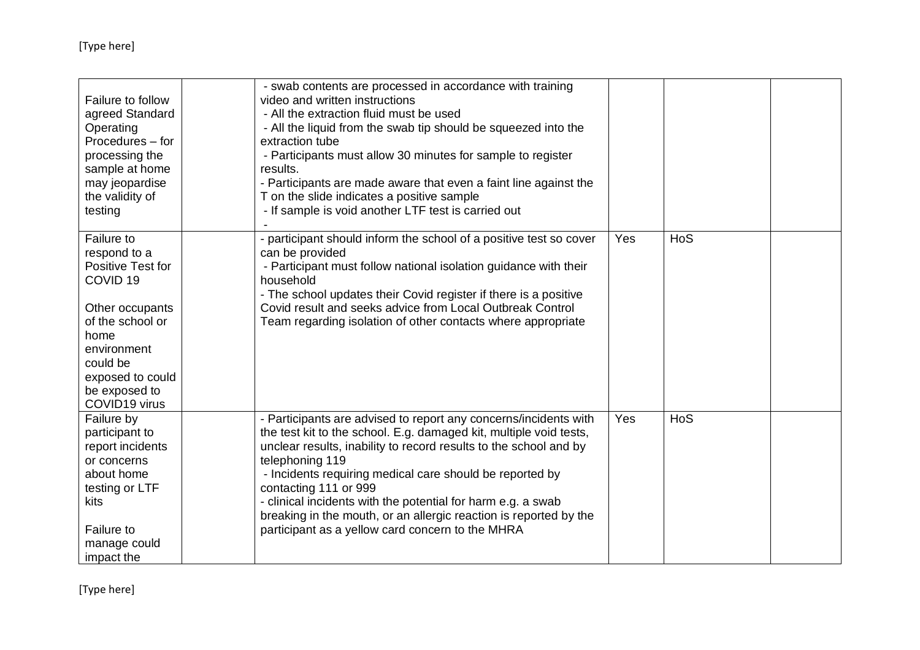| Failure to follow<br>agreed Standard<br>Operating<br>Procedures – for<br>processing the<br>sample at home<br>may jeopardise<br>the validity of<br>testing                                              | - swab contents are processed in accordance with training<br>video and written instructions<br>- All the extraction fluid must be used<br>- All the liquid from the swab tip should be squeezed into the<br>extraction tube<br>- Participants must allow 30 minutes for sample to register<br>results.<br>- Participants are made aware that even a faint line against the<br>T on the slide indicates a positive sample<br>- If sample is void another LTF test is carried out                              |     |     |  |
|--------------------------------------------------------------------------------------------------------------------------------------------------------------------------------------------------------|--------------------------------------------------------------------------------------------------------------------------------------------------------------------------------------------------------------------------------------------------------------------------------------------------------------------------------------------------------------------------------------------------------------------------------------------------------------------------------------------------------------|-----|-----|--|
| Failure to<br>respond to a<br>Positive Test for<br>COVID <sub>19</sub><br>Other occupants<br>of the school or<br>home<br>environment<br>could be<br>exposed to could<br>be exposed to<br>COVID19 virus | - participant should inform the school of a positive test so cover<br>can be provided<br>- Participant must follow national isolation guidance with their<br>household<br>- The school updates their Covid register if there is a positive<br>Covid result and seeks advice from Local Outbreak Control<br>Team regarding isolation of other contacts where appropriate                                                                                                                                      | Yes | HoS |  |
| Failure by<br>participant to<br>report incidents<br>or concerns<br>about home<br>testing or LTF<br>kits<br>Failure to<br>manage could<br>impact the                                                    | - Participants are advised to report any concerns/incidents with<br>the test kit to the school. E.g. damaged kit, multiple void tests,<br>unclear results, inability to record results to the school and by<br>telephoning 119<br>- Incidents requiring medical care should be reported by<br>contacting 111 or 999<br>- clinical incidents with the potential for harm e.g. a swab<br>breaking in the mouth, or an allergic reaction is reported by the<br>participant as a yellow card concern to the MHRA | Yes | HoS |  |